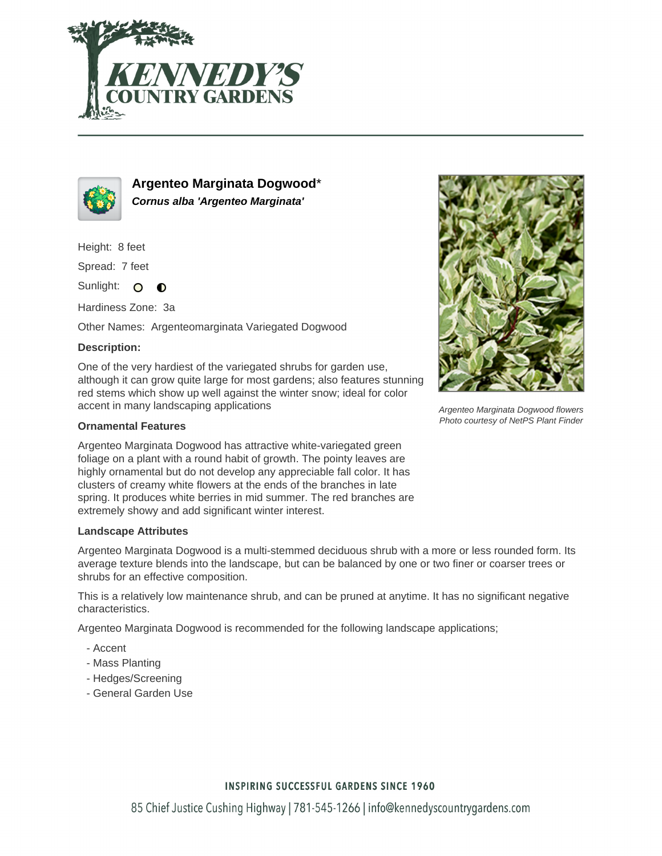



**Argenteo Marginata Dogwood**\* **Cornus alba 'Argenteo Marginata'**

Height: 8 feet

Spread: 7 feet

Sunlight: O ∩

Hardiness Zone: 3a

Other Names: Argenteomarginata Variegated Dogwood

## **Description:**

One of the very hardiest of the variegated shrubs for garden use, although it can grow quite large for most gardens; also features stunning red stems which show up well against the winter snow; ideal for color accent in many landscaping applications

### **Ornamental Features**

Argenteo Marginata Dogwood has attractive white-variegated green foliage on a plant with a round habit of growth. The pointy leaves are highly ornamental but do not develop any appreciable fall color. It has clusters of creamy white flowers at the ends of the branches in late spring. It produces white berries in mid summer. The red branches are extremely showy and add significant winter interest.

#### **Landscape Attributes**

Argenteo Marginata Dogwood is a multi-stemmed deciduous shrub with a more or less rounded form. Its average texture blends into the landscape, but can be balanced by one or two finer or coarser trees or shrubs for an effective composition.

This is a relatively low maintenance shrub, and can be pruned at anytime. It has no significant negative characteristics.

Argenteo Marginata Dogwood is recommended for the following landscape applications;

- Accent
- Mass Planting
- Hedges/Screening
- General Garden Use



Argenteo Marginata Dogwood flowers Photo courtesy of NetPS Plant Finder

## **INSPIRING SUCCESSFUL GARDENS SINCE 1960**